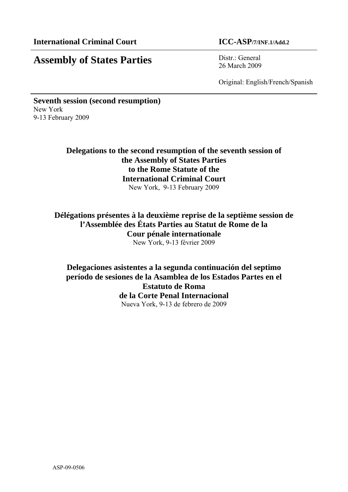# **Assembly of States Parties** Distr.: General

26 March 2009

Original: English/French/Spanish

**Seventh session (second resumption)**  New York 9-13 February 2009

> **Delegations to the second resumption of the seventh session of the Assembly of States Parties to the Rome Statute of the International Criminal Court**  New York, 9-13 February 2009

**Délégations présentes à la deuxième reprise de la septième session de l'Assemblée des États Parties au Statut de Rome de la Cour pénale internationale**  New York, 9-13 février 2009

**Delegaciones asistentes a la segunda continuación del septimo período de sesiones de la Asamblea de los Estados Partes en el Estatuto de Roma de la Corte Penal Internacional**  Nueva York, 9-13 de febrero de 2009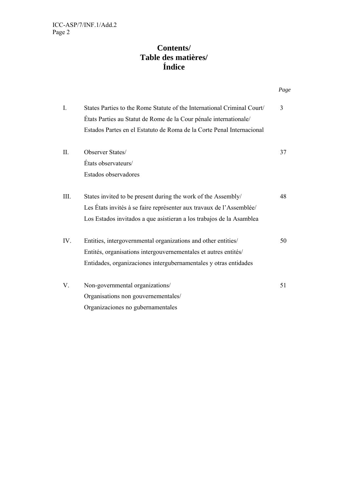# **Contents/ Table des matières/ Índice**

|  |      |                                                                         | Page |
|--|------|-------------------------------------------------------------------------|------|
|  | I.   | States Parties to the Rome Statute of the International Criminal Court/ | 3    |
|  |      | États Parties au Statut de Rome de la Cour pénale internationale/       |      |
|  |      | Estados Partes en el Estatuto de Roma de la Corte Penal Internacional   |      |
|  | II.  | Observer States/                                                        | 37   |
|  |      | États observateurs/                                                     |      |
|  |      | Estados observadores                                                    |      |
|  | III. | States invited to be present during the work of the Assembly/           | 48   |
|  |      | Les États invités à se faire représenter aux travaux de l'Assemblée/    |      |
|  |      | Los Estados invitados a que asistieran a los trabajos de la Asamblea    |      |
|  | IV.  | Entities, intergovernmental organizations and other entities/           | 50   |
|  |      | Entités, organisations intergouvernementales et autres entités/         |      |
|  |      | Entidades, organizaciones intergubernamentales y otras entidades        |      |
|  | V.   | Non-governmental organizations/                                         | 51   |
|  |      | Organisations non gouvernementales/                                     |      |
|  |      | Organizaciones no gubernamentales                                       |      |
|  |      |                                                                         |      |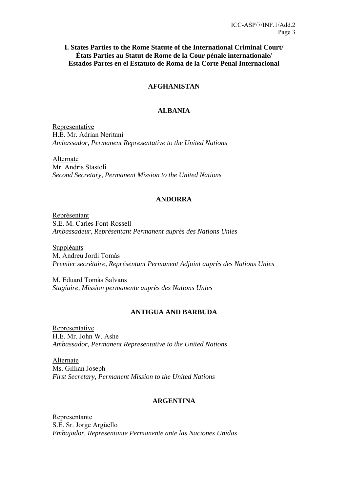**I. States Parties to the Rome Statute of the International Criminal Court/ États Parties au Statut de Rome de la Cour pénale internationale/ Estados Partes en el Estatuto de Roma de la Corte Penal Internacional** 

### **AFGHANISTAN**

#### **ALBANIA**

Representative H.E. Mr. Adrian Neritani *Ambassador, Permanent Representative to the United Nations* 

Alternate Mr. Andris Stastoli *Second Secretary, Permanent Mission to the United Nations* 

#### **ANDORRA**

Représentant S.E. M. Carles Font-Rossell *Ambassadeur, Représentant Permanent auprès des Nations Unies* 

Suppléants M. Andreu Jordi Tomàs *Premier secrétaire, Représentant Permanent Adjoint auprès des Nations Unies* 

M. Eduard Tomàs Salvans *Stagiaire, Mission permanente auprès des Nations Unies* 

### **ANTIGUA AND BARBUDA**

**Representative** H.E. Mr. John W. Ashe *Ambassador, Permanent Representative to the United Nations*

Alternate Ms. Gillian Joseph *First Secretary, Permanent Mission to the United Nations* 

#### **ARGENTINA**

Representante S.E. Sr. Jorge Argüello *Embajador, Representante Permanente ante las Naciones Unidas*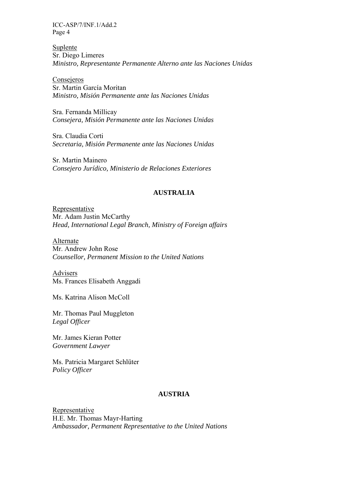Suplente Sr. Diego Limeres *Ministro, Representante Permanente Alterno ante las Naciones Unidas* 

Consejeros Sr. Martin García Moritan *Ministro, Misión Permanente ante las Naciones Unidas* 

Sra. Fernanda Millicay *Consejera, Misión Permanente ante las Naciones Unidas* 

Sra. Claudia Corti *Secretaria, Misión Permanente ante las Naciones Unidas* 

Sr. Martin Mainero *Consejero Jurídico, Ministerio de Relaciones Exteriores* 

### **AUSTRALIA**

Representative Mr. Adam Justin McCarthy *Head, International Legal Branch, Ministry of Foreign affairs* 

Alternate Mr. Andrew John Rose *Counsellor, Permanent Mission to the United Nations* 

Advisers Ms. Frances Elisabeth Anggadi

Ms. Katrina Alison McColl

Mr. Thomas Paul Muggleton *Legal Officer* 

Mr. James Kieran Potter *Government Lawyer* 

Ms. Patricia Margaret Schlüter *Policy Officer* 

### **AUSTRIA**

Representative H.E. Mr. Thomas Mayr-Harting *Ambassador, Permanent Representative to the United Nations*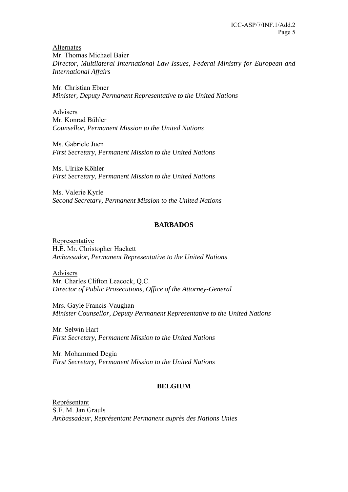Alternates Mr. Thomas Michael Baier *Director, Multilateral International Law Issues, Federal Ministry for European and International Affairs* 

Mr. Christian Ebner *Minister, Deputy Permanent Representative to the United Nations* 

Advisers Mr. Konrad Bühler *Counsellor, Permanent Mission to the United Nations* 

Ms. Gabriele Juen *First Secretary, Permanent Mission to the United Nations* 

Ms. Ulrike Köhler *First Secretary, Permanent Mission to the United Nations* 

Ms. Valerie Kyrle *Second Secretary, Permanent Mission to the United Nations* 

# **BARBADOS**

Representative H.E. Mr. Christopher Hackett *Ambassador, Permanent Representative to the United Nations*

Advisers Mr. Charles Clifton Leacock, Q.C. *Director of Public Prosecutions, Office of the Attorney-General*

Mrs. Gayle Francis-Vaughan *Minister Counsellor, Deputy Permanent Representative to the United Nations* 

Mr. Selwin Hart *First Secretary, Permanent Mission to the United Nations* 

Mr. Mohammed Degia *First Secretary, Permanent Mission to the United Nations* 

# **BELGIUM**

Représentant S.E. M. Jan Grauls *Ambassadeur, Représentant Permanent auprès des Nations Unies*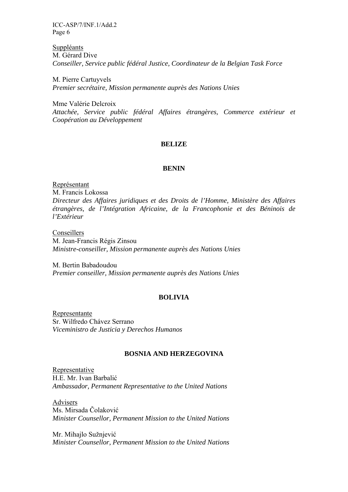Suppléants M. Gérard Dive *Conseiller, Service public fédéral Justice, Coordinateur de la Belgian Task Force* 

M. Pierre Cartuyvels *Premier secrétaire, Mission permanente auprès des Nations Unies* 

Mme Valérie Delcroix *Attachée, Service public fédéral Affaires étrangères, Commerce extérieur et Coopération au Développement* 

#### **BELIZE**

#### **BENIN**

Représentant M. Francis Lokossa *Directeur des Affaires juridiques et des Droits de l'Homme, Ministère des Affaires étrangères, de l'Intégration Africaine, de la Francophonie et des Béninois de l'Extérieur* 

Conseillers M. Jean-Francis Régis Zinsou *Ministre-conseiller, Mission permanente auprès des Nations Unies* 

M. Bertin Babadoudou *Premier conseiller, Mission permanente auprès des Nations Unies* 

### **BOLIVIA**

Representante Sr. Wilfredo Chávez Serrano *Viceministro de Justicia y Derechos Humanos* 

#### **BOSNIA AND HERZEGOVINA**

Representative H.E. Mr. Ivan Barbalić *Ambassador, Permanent Representative to the United Nations* 

Advisers Ms. Mirsada Čolaković *Minister Counsellor, Permanent Mission to the United Nations* 

Mr. Mihajlo Sužnjević *Minister Counsellor, Permanent Mission to the United Nations*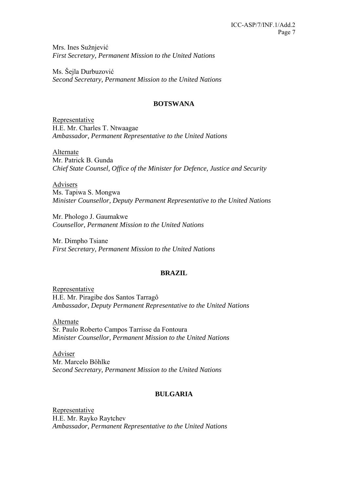Mrs. Ines Sužnjević *First Secretary, Permanent Mission to the United Nations* 

Ms. Šejla Durbuzović *Second Secretary, Permanent Mission to the United Nations* 

# **BOTSWANA**

Representative H.E. Mr. Charles T. Ntwaagae *Ambassador, Permanent Representative to the United Nations* 

Alternate Mr. Patrick B. Gunda *Chief State Counsel, Office of the Minister for Defence, Justice and Security* 

Advisers Ms. Tapiwa S. Mongwa *Minister Counsellor, Deputy Permanent Representative to the United Nations* 

Mr. Phologo J. Gaumakwe *Counsellor, Permanent Mission to the United Nations* 

Mr. Dimpho Tsiane *First Secretary, Permanent Mission to the United Nations* 

# **BRAZIL**

Representative H.E. Mr. Piragibe dos Santos Tarragô *Ambassador, Deputy Permanent Representative to the United Nations* 

Alternate Sr. Paulo Roberto Campos Tarrisse da Fontoura *Minister Counsellor, Permanent Mission to the United Nations* 

Adviser Mr. Marcelo Böhlke *Second Secretary, Permanent Mission to the United Nations* 

# **BULGARIA**

Representative H.E. Mr. Rayko Raytchev *Ambassador, Permanent Representative to the United Nations*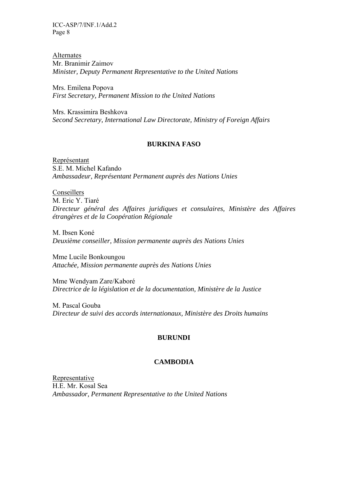Alternates Mr. Branimir Zaimov *Minister, Deputy Permanent Representative to the United Nations* 

Mrs. Emilena Popova *First Secretary, Permanent Mission to the United Nations* 

Mrs. Krassimira Beshkova *Second Secretary, International Law Directorate, Ministry of Foreign Affairs* 

### **BURKINA FASO**

Représentant S.E. M. Michel Kafando *Ambassadeur, Représentant Permanent auprès des Nations Unies* 

Conseillers M. Eric Y. Tiaré *Directeur général des Affaires juridiques et consulaires, Ministère des Affaires étrangères et de la Coopération Régionale* 

M. Ibsen Koné *Deuxième conseiller, Mission permanente auprès des Nations Unies* 

Mme Lucile Bonkoungou *Attachée, Mission permanente auprès des Nations Unies* 

Mme Wendyam Zare/Kaboré *Directrice de la législation et de la documentation, Ministère de la Justice* 

M. Pascal Gouba *Directeur de suivi des accords internationaux, Ministère des Droits humains* 

### **BURUNDI**

#### **CAMBODIA**

Representative H.E. Mr. Kosal Sea *Ambassador, Permanent Representative to the United Nations*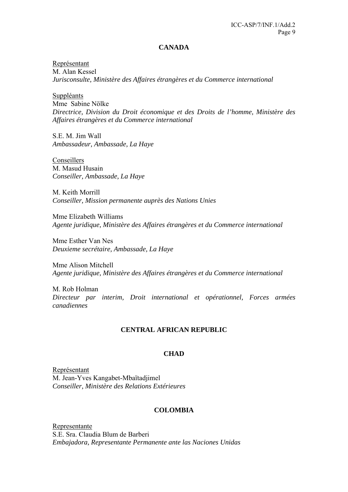#### **CANADA**

Représentant M. Alan Kessel *Jurisconsulte, Ministère des Affaires étrangères et du Commerce international* 

Suppléants Mme Sabine Nölke *Directrice, Division du Droit économique et des Droits de l'homme, Ministère des Affaires étrangères et du Commerce international* 

S.E. M. Jim Wall *Ambassadeur, Ambassade, La Haye* 

Conseillers M. Masud Husain *Conseiller, Ambassade, La Haye* 

M. Keith Morrill *Conseiller, Mission permanente auprès des Nations Unies* 

Mme Elizabeth Williams *Agente juridique, Ministère des Affaires étrangères et du Commerce international* 

Mme Esther Van Nes *Deuxieme secrétaire, Ambassade, La Haye* 

Mme Alison Mitchell *Agente juridique, Ministère des Affaires étrangères et du Commerce international* 

M. Rob Holman *Directeur par interim, Droit international et opérationnel, Forces armées canadiennes* 

#### **CENTRAL AFRICAN REPUBLIC**

#### **CHAD**

Représentant M. Jean-Yves Kangabet-Mbaïtadjimel *Conseiller, Ministère des Relations Extérieures* 

### **COLOMBIA**

Representante S.E. Sra. Claudia Blum de Barberi *Embajadora, Representante Permanente ante las Naciones Unidas*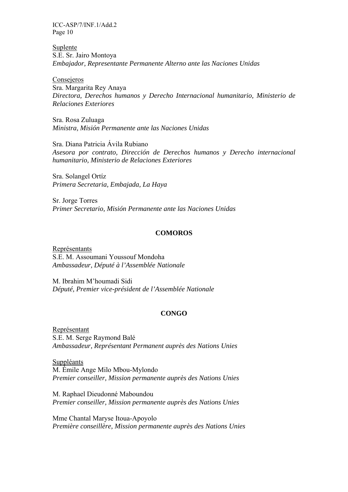Suplente S.E. Sr. Jairo Montoya *Embajador, Representante Permanente Alterno ante las Naciones Unidas* 

Consejeros

Sra. Margarita Rey Anaya *Directora, Derechos humanos y Derecho Internacional humanitario, Ministerio de Relaciones Exteriores* 

Sra. Rosa Zuluaga *Ministra, Misión Permanente ante las Naciones Unidas* 

Sra. Diana Patricia Ávila Rubiano *Asesora por contrato, Dirección de Derechos humanos y Derecho internacional humanitario, Ministerio de Relaciones Exteriores* 

Sra. Solangel Ortíz *Primera Secretaria, Embajada, La Haya* 

Sr. Jorge Torres *Primer Secretario, Misión Permanente ante las Naciones Unidas* 

#### **COMOROS**

Représentants S.E. M. Assoumani Youssouf Mondoha *Ambassadeur, Député à l'Assemblée Nationale*

M. Ibrahim M'houmadi Sidi *Député, Premier vice-président de l'Assemblée Nationale* 

### **CONGO**

Représentant S.E. M. Serge Raymond Balé *Ambassadeur, Représentant Permanent auprès des Nations Unies* 

Suppléants M. Émile Ange Milo Mbou-Mylondo *Premier conseiller, Mission permanente auprès des Nations Unies* 

M. Raphael Dieudonné Maboundou *Premier conseiller, Mission permanente auprès des Nations Unies* 

Mme Chantal Maryse Itoua-Apoyolo *Première conseillère, Mission permanente auprès des Nations Unies*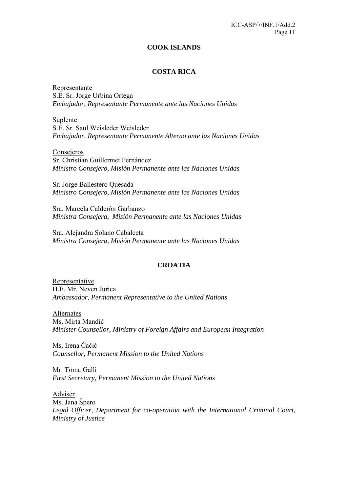#### **COOK ISLANDS**

### **COSTA RICA**

Representante S.E. Sr. Jorge Urbina Ortega *Embajador, Representante Permanente ante las Naciones Unidas* 

Suplente S.E. Sr. Saul Weisleder Weisleder *Embajador, Representante Permanente Alterno ante las Naciones Unidas* 

Consejeros Sr. Christian Guillermet Fernández *Ministro Consejero, Misión Permanente ante las Naciones Unidas* 

Sr. Jorge Ballestero Quesada *Ministro Consejero, Misión Permanente ante las Naciones Unidas* 

Sra. Marcela Calderón Garbanzo *Ministra Consejera, Misión Permanente ante las Naciones Unidas* 

Sra. Alejandra Solano Cabalceta *Ministra Consejera, Misión Permanente ante las Naciones Unidas* 

#### **CROATIA**

Representative H.E. Mr. Neven Jurica *Ambassador, Permanent Representative to the United Nations* 

Alternates Ms. Mirta Mandić *Minister Counsellor, Ministry of Foreign Affairs and European Integration* 

Ms. Irena Čačić *Counsellor, Permanent Mission to the United Nations* 

Mr. Toma Galli *First Secretary, Permanent Mission to the United Nations* 

Adviser Ms. Jana Špero *Legal Officer, Department for co-operation with the International Criminal Court, Ministry of Justice*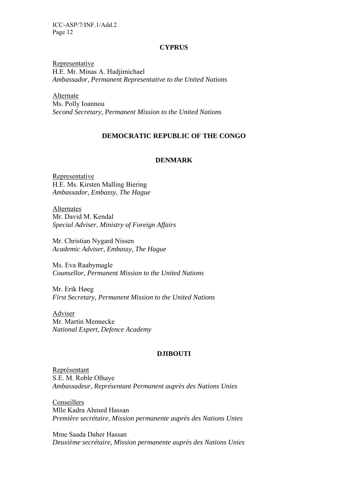#### **CYPRUS**

Representative H.E. Mr. Minas A. Hadjimichael *Ambassador, Permanent Representative to the United Nations* 

Alternate Ms. Polly Ioannou *Second Secretary, Permanent Mission to the United Nations* 

#### **DEMOCRATIC REPUBLIC OF THE CONGO**

#### **DENMARK**

Representative H.E. Ms. Kirsten Malling Biering *Ambassador, Embassy, The Hague* 

Alternates Mr. David M. Kendal *Special Adviser, Ministry of Foreign Affairs* 

Mr. Christian Nygard Nissen *Academic Adviser, Embassy, The Hague* 

Ms. Eva Raabymagle *Counsellor, Permanent Mission to the United Nations* 

Mr. Erik Høeg *First Secretary, Permanent Mission to the United Nations* 

Adviser Mr. Martin Mennecke *National Expert, Defence Academy* 

#### **DJIBOUTI**

Représentant S.E. M. Roble Olhaye *Ambassadeur, Représentant Permanent auprès des Nations Unies* 

Conseillers Mlle Kadra Ahmed Hassan *Première secrétaire, Mission permanente auprès des Nations Unies* 

Mme Saada Daher Hassan *Deuxième secrétaire, Mission permanente auprès des Nations Unies*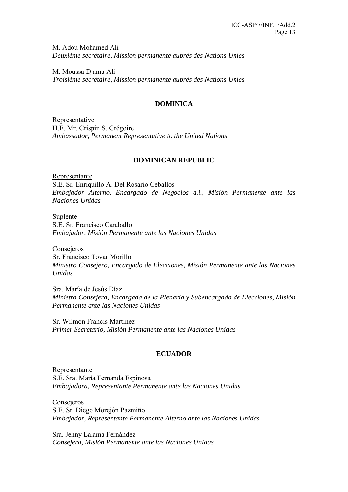M. Adou Mohamed Ali *Deuxième secrétaire, Mission permanente auprès des Nations Unies* 

M. Moussa Djama Ali *Troisième secrétaire, Mission permanente auprès des Nations Unies* 

### **DOMINICA**

Representative H.E. Mr. Crispin S. Grégoire *Ambassador, Permanent Representative to the United Nations* 

### **DOMINICAN REPUBLIC**

Representante S.E. Sr. Enriquillo A. Del Rosario Ceballos *Embajador Alterno, Encargado de Negocios a.i., Misión Permanente ante las Naciones Unidas* 

Suplente S.E. Sr. Francisco Caraballo *Embajador, Misión Permanente ante las Naciones Unidas* 

**Consejeros** Sr. Francisco Tovar Morillo *Ministro Consejero, Encargado de Elecciones, Misión Permanente ante las Naciones Unidas* 

Sra. María de Jesús Díaz *Ministra Consejera, Encargada de la Plenaria y Subencargada de Elecciones, Misión Permanente ante las Naciones Unidas* 

Sr. Wilmon Francis Martinez *Primer Secretario, Misión Permanente ante las Naciones Unidas* 

# **ECUADOR**

Representante S.E. Sra. María Fernanda Espinosa *Embajadora, Representante Permanente ante las Naciones Unidas* 

Consejeros S.E. Sr. Diego Morejón Pazmiño *Embajador, Representante Permanente Alterno ante las Naciones Unidas* 

Sra. Jenny Lalama Fernández *Consejera, Misión Permanente ante las Naciones Unidas*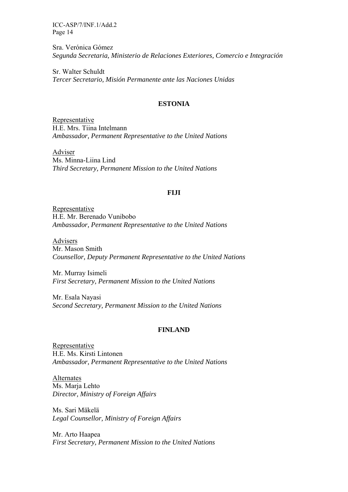Sra. Verónica Gómez *Segunda Secretaria, Ministerio de Relaciones Exteriores, Comercio e Integración* 

Sr. Walter Schuldt *Tercer Secretario, Misión Permanente ante las Naciones Unidas* 

### **ESTONIA**

Representative H.E. Mrs. Tiina Intelmann *Ambassador, Permanent Representative to the United Nations* 

Adviser Ms. Minna-Liina Lind *Third Secretary, Permanent Mission to the United Nations* 

#### **FIJI**

Representative H.E. Mr. Berenado Vunibobo *Ambassador, Permanent Representative to the United Nations* 

Advisers Mr. Mason Smith *Counsellor, Deputy Permanent Representative to the United Nations* 

Mr. Murray Isimeli *First Secretary, Permanent Mission to the United Nations* 

Mr. Esala Nayasi *Second Secretary, Permanent Mission to the United Nations* 

### **FINLAND**

Representative H.E. Ms. Kirsti Lintonen *Ambassador, Permanent Representative to the United Nations* 

Alternates Ms. Marja Lehto *Director, Ministry of Foreign Affairs* 

Ms. Sari Mäkelä *Legal Counsellor, Ministry of Foreign Affairs* 

Mr. Arto Haapea *First Secretary, Permanent Mission to the United Nations*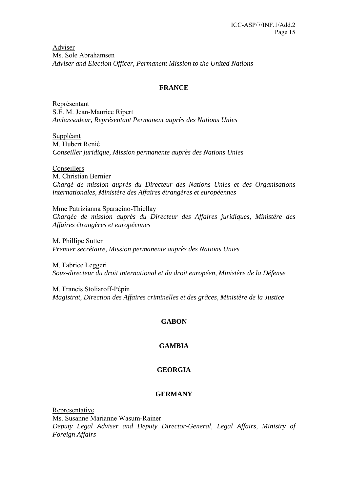Adviser Ms. Sole Abrahamsen *Adviser and Election Officer, Permanent Mission to the United Nations* 

# **FRANCE**

Représentant S.E. M. Jean-Maurice Ripert *Ambassadeur, Représentant Permanent auprès des Nations Unies* 

Suppléant M. Hubert Renié *Conseiller juridique, Mission permanente auprès des Nations Unies* 

Conseillers M. Christian Bernier *Chargé de mission auprès du Directeur des Nations Unies et des Organisations internationales, Ministère des Affaires étrangères et européennes* 

Mme Patrizianna Sparacino-Thiellay *Chargée de mission auprès du Directeur des Affaires juridiques, Ministère des Affaires étrangères et européennes*

M. Phillipe Sutter *Premier secrétaire, Mission permanente auprès des Nations Unies* 

M. Fabrice Leggeri *Sous-directeur du droit international et du droit européen, Ministère de la Défense* 

M. Francis Stoliaroff-Pépin *Magistrat, Direction des Affaires criminelles et des grâces, Ministère de la Justice* 

# **GABON**

# **GAMBIA**

# **GEORGIA**

### **GERMANY**

Representative Ms. Susanne Marianne Wasum-Rainer *Deputy Legal Adviser and Deputy Director-General, Legal Affairs, Ministry of Foreign Affairs*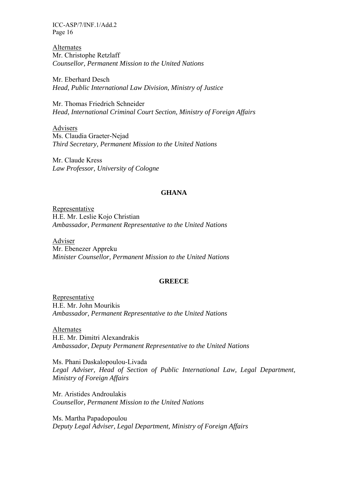Alternates Mr. Christophe Retzlaff *Counsellor, Permanent Mission to the United Nations* 

Mr. Eberhard Desch *Head, Public International Law Division, Ministry of Justice* 

Mr. Thomas Friedrich Schneider *Head, International Criminal Court Section, Ministry of Foreign Affairs* 

Advisers Ms. Claudia Graeter-Nejad *Third Secretary, Permanent Mission to the United Nations* 

Mr. Claude Kress *Law Professor, University of Cologne* 

#### **GHANA**

Representative H.E. Mr. Leslie Kojo Christian *Ambassador, Permanent Representative to the United Nations* 

Adviser Mr. Ebenezer Appreku *Minister Counsellor, Permanent Mission to the United Nations* 

#### **GREECE**

Representative H.E. Mr. John Mourikis *Ambassador, Permanent Representative to the United Nations* 

Alternates H.E. Mr. Dimitri Alexandrakis *Ambassador, Deputy Permanent Representative to the United Nations* 

Ms. Phani Daskalopoulou-Livada Legal Adviser, Head of Section of Public International Law, Legal Department, *Ministry of Foreign Affairs* 

Mr. Aristides Androulakis *Counsellor, Permanent Mission to the United Nations* 

Ms. Martha Papadopoulou *Deputy Legal Adviser, Legal Department, Ministry of Foreign Affairs*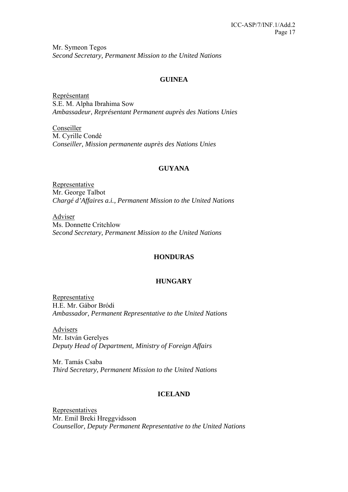Mr. Symeon Tegos *Second Secretary, Permanent Mission to the United Nations* 

# **GUINEA**

Représentant S.E. M. Alpha Ibrahima Sow *Ambassadeur, Représentant Permanent auprès des Nations Unies* 

**Conseiller** M. Cyrille Condé *Conseiller, Mission permanente auprès des Nations Unies* 

### **GUYANA**

Representative Mr. George Talbot *Chargé d'Affaires a.i., Permanent Mission to the United Nations* 

Adviser Ms. Donnette Critchlow *Second Secretary, Permanent Mission to the United Nations* 

### **HONDURAS**

### **HUNGARY**

Representative H.E. Mr. Gábor Bródi *Ambassador, Permanent Representative to the United Nations* 

Advisers Mr. István Gerelyes *Deputy Head of Department, Ministry of Foreign Affairs* 

Mr. Tamás Csaba *Third Secretary, Permanent Mission to the United Nations* 

### **ICELAND**

**Representatives** Mr. Emil Breki Hreggvidsson *Counsellor, Deputy Permanent Representative to the United Nations*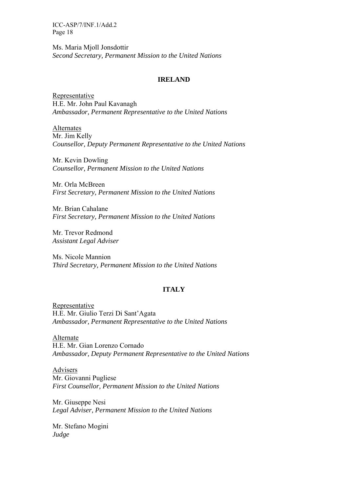Ms. Maria Mjoll Jonsdottir *Second Secretary, Permanent Mission to the United Nations* 

#### **IRELAND**

Representative H.E. Mr. John Paul Kavanagh *Ambassador, Permanent Representative to the United Nations* 

Alternates Mr. Jim Kelly *Counsellor, Deputy Permanent Representative to the United Nations* 

Mr. Kevin Dowling *Counsellor, Permanent Mission to the United Nations* 

Mr. Orla McBreen *First Secretary, Permanent Mission to the United Nations* 

Mr. Brian Cahalane *First Secretary, Permanent Mission to the United Nations* 

Mr. Trevor Redmond *Assistant Legal Adviser* 

Ms. Nicole Mannion *Third Secretary, Permanent Mission to the United Nations* 

### **ITALY**

Representative H.E. Mr. Giulio Terzi Di Sant'Agata *Ambassador, Permanent Representative to the United Nations* 

Alternate H.E. Mr. Gian Lorenzo Cornado *Ambassador, Deputy Permanent Representative to the United Nations* 

Advisers Mr. Giovanni Pugliese *First Counsellor, Permanent Mission to the United Nations* 

Mr. Giuseppe Nesi *Legal Adviser, Permanent Mission to the United Nations* 

Mr. Stefano Mogini *Judge*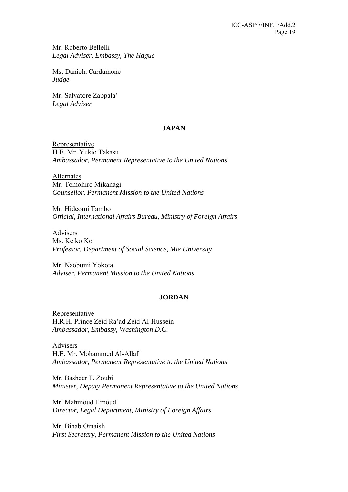Mr. Roberto Bellelli *Legal Adviser, Embassy, The Hague* 

Ms. Daniela Cardamone *Judge* 

Mr. Salvatore Zappala' *Legal Adviser* 

### **JAPAN**

Representative H.E. Mr. Yukio Takasu *Ambassador, Permanent Representative to the United Nations* 

Alternates Mr. Tomohiro Mikanagi *Counsellor, Permanent Mission to the United Nations* 

Mr. Hideomi Tambo *Official, International Affairs Bureau, Ministry of Foreign Affairs* 

Advisers Ms. Keiko Ko *Professor, Department of Social Science, Mie University* 

Mr. Naobumi Yokota *Adviser, Permanent Mission to the United Nations* 

# **JORDAN**

Representative H.R.H. Prince Zeid Ra'ad Zeid Al-Hussein *Ambassador, Embassy, Washington D.C.* 

Advisers H.E. Mr. Mohammed Al-Allaf *Ambassador, Permanent Representative to the United Nations* 

Mr. Basheer F. Zoubi *Minister, Deputy Permanent Representative to the United Nations* 

Mr. Mahmoud Hmoud *Director, Legal Department, Ministry of Foreign Affairs* 

Mr. Bihab Omaish *First Secretary, Permanent Mission to the United Nations*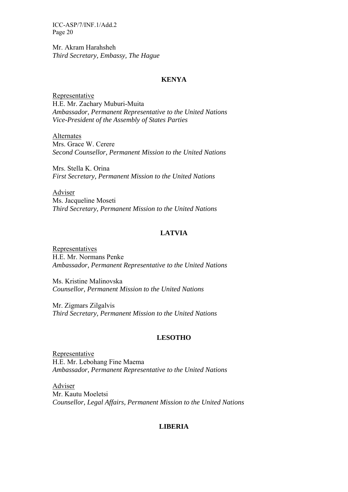Mr. Akram Harahsheh *Third Secretary, Embassy, The Hague* 

#### **KENYA**

Representative H.E. Mr. Zachary Muburi-Muita *Ambassador, Permanent Representative to the United Nations Vice-President of the Assembly of States Parties* 

Alternates Mrs. Grace W. Cerere *Second Counsellor, Permanent Mission to the United Nations* 

Mrs. Stella K. Orina *First Secretary, Permanent Mission to the United Nations* 

Adviser Ms. Jacqueline Moseti *Third Secretary, Permanent Mission to the United Nations* 

### **LATVIA**

Representatives H.E. Mr. Normans Penke *Ambassador, Permanent Representative to the United Nations* 

Ms. Kristine Malinovska *Counsellor, Permanent Mission to the United Nations* 

Mr. Zigmars Zilgalvis *Third Secretary, Permanent Mission to the United Nations* 

### **LESOTHO**

Representative H.E. Mr. Lebohang Fine Maema *Ambassador, Permanent Representative to the United Nations* 

Adviser Mr. Kautu Moeletsi *Counsellor, Legal Affairs, Permanent Mission to the United Nations* 

### **LIBERIA**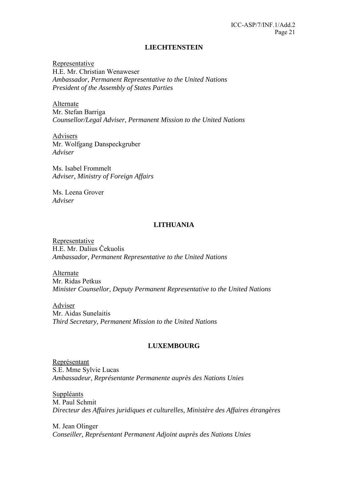#### **LIECHTENSTEIN**

Representative H.E. Mr. Christian Wenaweser *Ambassador, Permanent Representative to the United Nations President of the Assembly of States Parties* 

Alternate Mr. Stefan Barriga *Counsellor/Legal Adviser, Permanent Mission to the United Nations* 

Advisers Mr. Wolfgang Danspeckgruber *Adviser* 

Ms. Isabel Frommelt *Adviser, Ministry of Foreign Affairs* 

Ms. Leena Grover *Adviser* 

#### **LITHUANIA**

Representative H.E. Mr. Dalius Čekuolis *Ambassador, Permanent Representative to the United Nations* 

Alternate Mr. Ridas Petkus *Minister Counsellor, Deputy Permanent Representative to the United Nations* 

Adviser Mr. Aidas Sunelaitis *Third Secretary, Permanent Mission to the United Nations* 

#### **LUXEMBOURG**

Représentant S.E. Mme Sylvie Lucas *Ambassadeur, Représentante Permanente auprès des Nations Unies* 

Suppléants M. Paul Schmit *Directeur des Affaires juridiques et culturelles, Ministère des Affaires étrangères* 

M. Jean Olinger *Conseiller, Représentant Permanent Adjoint auprès des Nations Unies*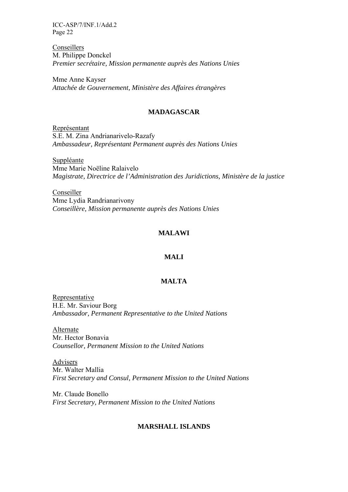Conseillers M. Philippe Donckel *Premier secrétaire, Mission permanente auprès des Nations Unies* 

Mme Anne Kayser *Attachée de Gouvernement, Ministère des Affaires étrangères* 

### **MADAGASCAR**

Représentant S.E. M. Zina Andrianarivelo-Razafy *Ambassadeur, Représentant Permanent auprès des Nations Unies* 

Suppléante Mme Marie Noëline Ralaivelo *Magistrate, Directrice de l'Administration des Juridictions, Ministère de la justice* 

Conseiller Mme Lydia Randrianarivony *Conseillère, Mission permanente auprès des Nations Unies* 

#### **MALAWI**

#### **MALI**

#### **MALTA**

Representative H.E. Mr. Saviour Borg *Ambassador, Permanent Representative to the United Nations* 

Alternate Mr. Hector Bonavia *Counsellor, Permanent Mission to the United Nations* 

Advisers Mr. Walter Mallia *First Secretary and Consul, Permanent Mission to the United Nations* 

Mr. Claude Bonello *First Secretary, Permanent Mission to the United Nations* 

### **MARSHALL ISLANDS**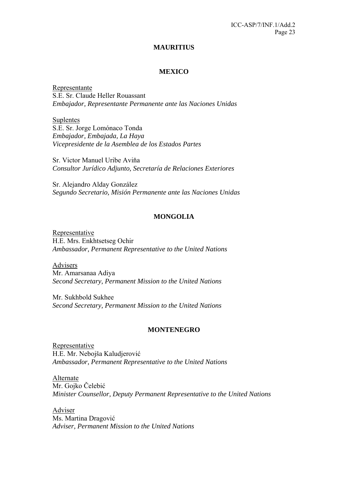#### **MAURITIUS**

# **MEXICO**

Representante S.E. Sr. Claude Heller Rouassant *Embajador, Representante Permanente ante las Naciones Unidas* 

Suplentes S.E. Sr. Jorge Lomónaco Tonda *Embajador, Embajada, La Haya Vicepresidente de la Asemblea de los Estados Partes* 

Sr. Victor Manuel Uribe Aviňa *Consultor Jurídico Adjunto, Secretaría de Relaciones Exteriores* 

Sr. Alejandro Alday González *Segundo Secretario, Misión Permanente ante las Naciones Unidas* 

### **MONGOLIA**

Representative H.E. Mrs. Enkhtsetseg Ochir *Ambassador, Permanent Representative to the United Nations* 

Advisers Mr. Amarsanaa Adiya *Second Secretary, Permanent Mission to the United Nations* 

Mr. Sukhbold Sukhee *Second Secretary, Permanent Mission to the United Nations* 

#### **MONTENEGRO**

Representative H.E. Mr. Nebojša Kaludjerović *Ambassador, Permanent Representative to the United Nations* 

Alternate Mr. Gojko Čelebić *Minister Counsellor, Deputy Permanent Representative to the United Nations* 

Adviser Ms. Martina Dragović *Adviser, Permanent Mission to the United Nations*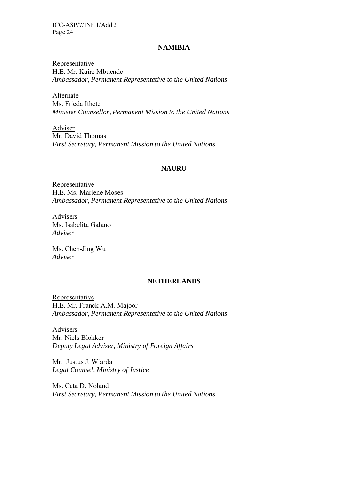#### **NAMIBIA**

Representative H.E. Mr. Kaire Mbuende *Ambassador, Permanent Representative to the United Nations* 

Alternate Ms. Frieda Ithete *Minister Counsellor, Permanent Mission to the United Nations* 

Adviser Mr. David Thomas *First Secretary, Permanent Mission to the United Nations* 

#### **NAURU**

Representative H.E. Ms. Marlene Moses *Ambassador, Permanent Representative to the United Nations* 

Advisers Ms. Isabelita Galano *Adviser* 

Ms. Chen-Jing Wu *Adviser* 

#### **NETHERLANDS**

Representative H.E. Mr. Franck A.M. Majoor *Ambassador, Permanent Representative to the United Nations* 

Advisers Mr. Niels Blokker *Deputy Legal Adviser, Ministry of Foreign Affairs* 

Mr. Justus J. Wiarda *Legal Counsel, Ministry of Justice* 

Ms. Ceta D. Noland *First Secretary, Permanent Mission to the United Nations*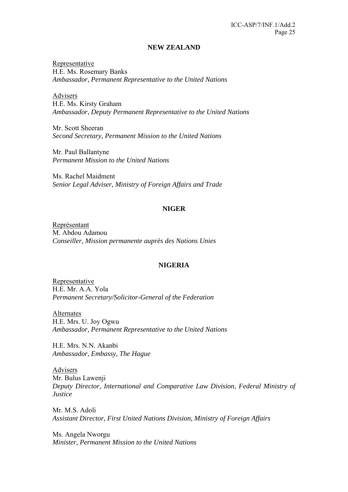### **NEW ZEALAND**

Representative H.E. Ms. Rosemary Banks *Ambassador, Permanent Representative to the United Nations* 

Advisers H.E. Ms. Kirsty Graham *Ambassador, Deputy Permanent Representative to the United Nations* 

Mr. Scott Sheeran *Second Secretary, Permanent Mission to the United Nations* 

Mr. Paul Ballantyne *Permanent Mission to the United Nations* 

Ms. Rachel Maidment *Senior Legal Adviser, Ministry of Foreign Affairs and Trade* 

### **NIGER**

Représentant M. Abdou Adamou *Conseiller, Mission permanente auprès des Nations Unies* 

### **NIGERIA**

Representative H.E. Mr. A.A. Yola *Permanent Secretary/Solicitor-General of the Federation* 

Alternates H.E. Mrs. U. Joy Ogwu *Ambassador, Permanent Representative to the United Nations* 

H.E. Mrs. N.N. Akanbi *Ambassador, Embassy, The Hague* 

Advisers Mr. Bulus Lawenji *Deputy Director, International and Comparative Law Division, Federal Ministry of Justice* 

Mr. M.S. Adoli *Assistant Director, First United Nations Division, Ministry of Foreign Affairs* 

Ms. Angela Nworgu *Minister, Permanent Mission to the United Nations*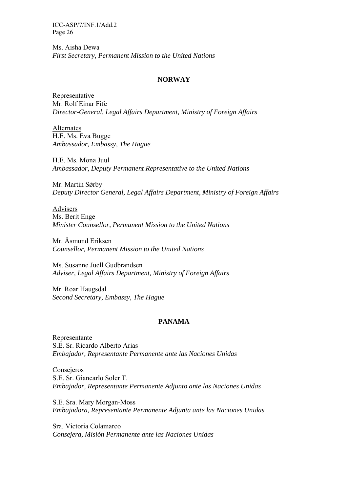Ms. Aisha Dewa *First Secretary, Permanent Mission to the United Nations* 

#### **NORWAY**

Representative Mr. Rolf Einar Fife *Director-General, Legal Affairs Department, Ministry of Foreign Affairs* 

Alternates H.E. Ms. Eva Bugge *Ambassador, Embassy, The Hague* 

H.E. Ms. Mona Juul *Ambassador, Deputy Permanent Representative to the United Nations* 

Mr. Martin Sørby *Deputy Director General, Legal Affairs Department, Ministry of Foreign Affairs* 

Advisers Ms. Berit Enge *Minister Counsellor, Permanent Mission to the United Nations* 

Mr. Åsmund Eriksen *Counsellor, Permanent Mission to the United Nations* 

Ms. Susanne Juell Gudbrandsen *Adviser, Legal Affairs Department, Ministry of Foreign Affairs* 

Mr. Roar Haugsdal *Second Secretary, Embassy, The Hague* 

### **PANAMA**

Representante S.E. Sr. Ricardo Alberto Arias *Embajador, Representante Permanente ante las Naciones Unidas* 

Consejeros S.E. Sr. Giancarlo Soler T. *Embajador, Representante Permanente Adjunto ante las Naciones Unidas* 

S.E. Sra. Mary Morgan-Moss *Embajadora, Representante Permanente Adjunta ante las Naciones Unidas* 

Sra. Victoria Colamarco *Consejera, Misión Permanente ante las Naciones Unidas*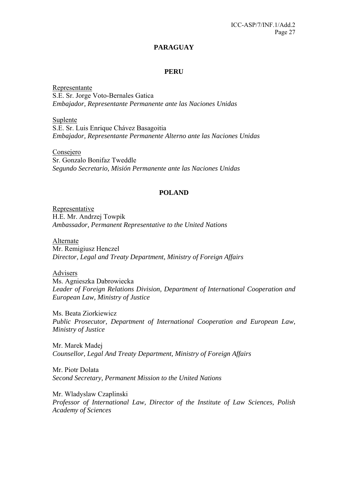# **PARAGUAY**

#### **PERU**

Representante S.E. Sr. Jorge Voto-Bernales Gatica *Embajador, Representante Permanente ante las Naciones Unidas*

Suplente S.E. Sr. Luis Enrique Chávez Basagoitia *Embajador, Representante Permanente Alterno ante las Naciones Unidas*

Consejero Sr. Gonzalo Bonifaz Tweddle *Segundo Secretario, Misión Permanente ante las Naciones Unidas* 

#### **POLAND**

Representative H.E. Mr. Andrzej Towpik *Ambassador, Permanent Representative to the United Nations* 

Alternate Mr. Remigiusz Henczel *Director, Legal and Treaty Department, Ministry of Foreign Affairs* 

Advisers Ms. Agnieszka Dabrowiecka *Leader of Foreign Relations Division, Department of International Cooperation and European Law, Ministry of Justice* 

Ms. Beata Ziorkiewicz *Public Prosecutor, Department of International Cooperation and European Law, Ministry of Justice* 

Mr. Marek Madej *Counsellor, Legal And Treaty Department, Ministry of Foreign Affairs* 

Mr. Piotr Dolata *Second Secretary, Permanent Mission to the United Nations* 

Mr. Wladyslaw Czaplinski *Professor of International Law, Director of the Institute of Law Sciences, Polish Academy of Sciences*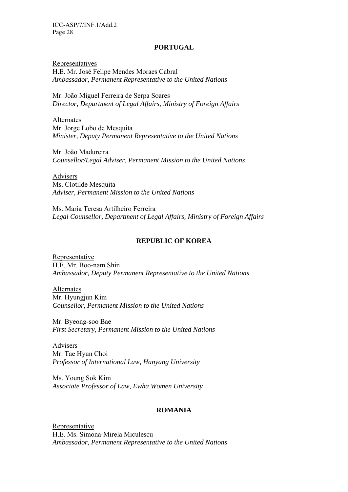#### **PORTUGAL**

Representatives H.E. Mr. José Felipe Mendes Moraes Cabral *Ambassador, Permanent Representative to the United Nations* 

Mr. João Miguel Ferreira de Serpa Soares *Director, Department of Legal Affairs, Ministry of Foreign Affairs* 

Alternates Mr. Jorge Lobo de Mesquita *Minister, Deputy Permanent Representative to the United Nations* 

Mr. João Madureira *Counsellor/Legal Adviser, Permanent Mission to the United Nations* 

Advisers Ms. Clotilde Mesquita *Adviser, Permanent Mission to the United Nations* 

Ms. Maria Teresa Artilheiro Ferreira *Legal Counsellor, Department of Legal Affairs, Ministry of Foreign Affairs* 

#### **REPUBLIC OF KOREA**

Representative H.E. Mr. Boo-nam Shin *Ambassador, Deputy Permanent Representative to the United Nations* 

Alternates Mr. Hyungjun Kim *Counsellor, Permanent Mission to the United Nations* 

Mr. Byeong-soo Bae *First Secretary, Permanent Mission to the United Nations* 

Advisers Mr. Tae Hyun Choi *Professor of International Law, Hanyang University* 

Ms. Young Sok Kim *Associate Professor of Law, Ewha Women University* 

#### **ROMANIA**

Representative H.E. Ms. Simona-Mirela Miculescu *Ambassador, Permanent Representative to the United Nations*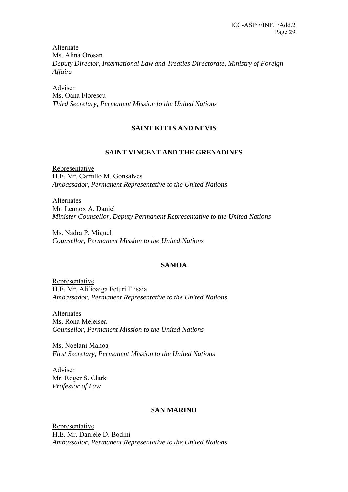Alternate Ms. Alina Orosan *Deputy Director, International Law and Treaties Directorate, Ministry of Foreign Affairs* 

Adviser Ms. Oana Florescu *Third Secretary, Permanent Mission to the United Nations* 

# **SAINT KITTS AND NEVIS**

# **SAINT VINCENT AND THE GRENADINES**

Representative H.E. Mr. Camillo M. Gonsalves *Ambassador, Permanent Representative to the United Nations* 

**Alternates** Mr. Lennox A. Daniel *Minister Counsellor, Deputy Permanent Representative to the United Nations* 

Ms. Nadra P. Miguel *Counsellor, Permanent Mission to the United Nations* 

# **SAMOA**

Representative H.E. Mr. Ali'ioaiga Feturi Elisaia *Ambassador, Permanent Representative to the United Nations* 

Alternates Ms. Rona Meleisea *Counsellor, Permanent Mission to the United Nations* 

Ms. Noelani Manoa *First Secretary, Permanent Mission to the United Nations* 

Adviser Mr. Roger S. Clark *Professor of Law* 

### **SAN MARINO**

Representative H.E. Mr. Daniele D. Bodini *Ambassador, Permanent Representative to the United Nations*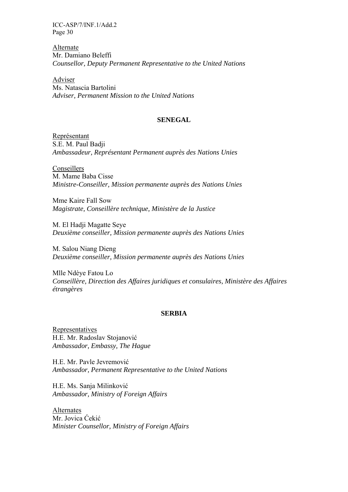Alternate Mr. Damiano Beleffi *Counsellor, Deputy Permanent Representative to the United Nations* 

Adviser Ms. Natascia Bartolini *Adviser, Permanent Mission to the United Nations* 

#### **SENEGAL**

Représentant S.E. M. Paul Badji *Ambassadeur, Représentant Permanent auprès des Nations Unies* 

Conseillers M. Mame Baba Cisse *Ministre-Conseiller, Mission permanente auprès des Nations Unies* 

Mme Kaire Fall Sow *Magistrate, Conseillère technique, Ministère de la Justice* 

M. El Hadji Magatte Seye *Deuxième conseiller, Mission permanente auprès des Nations Unies* 

M. Salou Niang Dieng *Deuxième conseiller, Mission permanente auprès des Nations Unies* 

Mlle Ndèye Fatou Lo *Conseillère, Direction des Affaires juridiques et consulaires, Ministère des Affaires étrangères*

#### **SERBIA**

**Representatives** H.E. Mr. Radoslav Stojanović *Ambassador, Embassy, The Hague* 

H.E. Mr. Pavle Jevremović *Ambassador, Permanent Representative to the United Nations* 

H.E. Ms. Sanja Milinković *Ambassador, Ministry of Foreign Affairs* 

**Alternates** Mr. Jovica Ćekić *Minister Counsellor, Ministry of Foreign Affairs*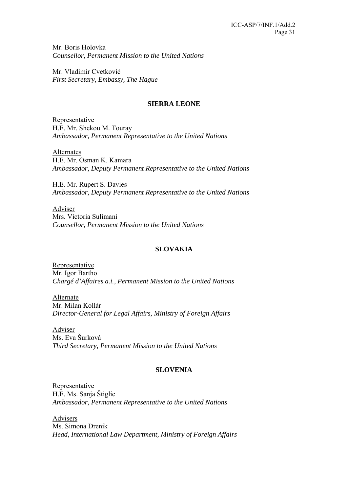Mr. Boris Holovka *Counsellor, Permanent Mission to the United Nations* 

Mr. Vladimir Cvetković *First Secretary, Embassy, The Hague* 

# **SIERRA LEONE**

Representative H.E. Mr. Shekou M. Touray *Ambassador, Permanent Representative to the United Nations* 

Alternates H.E. Mr. Osman K. Kamara *Ambassador, Deputy Permanent Representative to the United Nations* 

H.E. Mr. Rupert S. Davies *Ambassador, Deputy Permanent Representative to the United Nations* 

Adviser Mrs. Victoria Sulimani *Counsellor, Permanent Mission to the United Nations* 

# **SLOVAKIA**

Representative Mr. Igor Bartho *Chargé d'Affaires a.i., Permanent Mission to the United Nations* 

Alternate Mr. Milan Kollár *Director-General for Legal Affairs, Ministry of Foreign Affairs* 

Adviser Ms. Eva Šurková *Third Secretary, Permanent Mission to the United Nations* 

# **SLOVENIA**

Representative H.E. Ms. Sanja Štiglic *Ambassador, Permanent Representative to the United Nations* 

**Advisers** Ms. Simona Drenik *Head, International Law Department, Ministry of Foreign Affairs*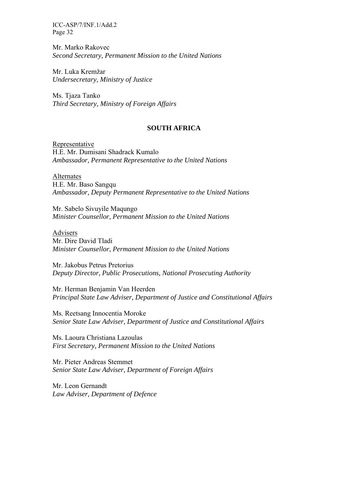Mr. Marko Rakovec *Second Secretary, Permanent Mission to the United Nations* 

Mr. Luka Kremžar *Undersecretary, Ministry of Justice* 

Ms. Tjaza Tanko *Third Secretary, Ministry of Foreign Affairs* 

#### **SOUTH AFRICA**

Representative H.E. Mr. Dumisani Shadrack Kumalo *Ambassador, Permanent Representative to the United Nations* 

Alternates H.E. Mr. Baso Sangqu *Ambassador, Deputy Permanent Representative to the United Nations* 

Mr. Sabelo Sivuyile Maqungo *Minister Counsellor, Permanent Mission to the United Nations* 

Advisers Mr. Dire David Tladi *Minister Counsellor, Permanent Mission to the United Nations* 

Mr. Jakobus Petrus Pretorius *Deputy Director, Public Prosecutions, National Prosecuting Authority* 

Mr. Herman Benjamin Van Heerden *Principal State Law Adviser, Department of Justice and Constitutional Affairs* 

Ms. Reetsang Innocentia Moroke *Senior State Law Adviser, Department of Justice and Constitutional Affairs* 

Ms. Laoura Christiana Lazoulas *First Secretary, Permanent Mission to the United Nations* 

Mr. Pieter Andreas Stemmet *Senior State Law Adviser, Department of Foreign Affairs* 

Mr. Leon Gernandt *Law Adviser, Department of Defence*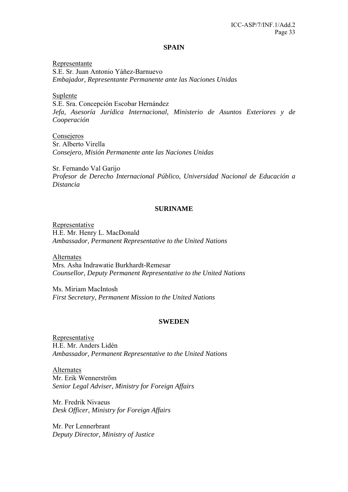#### **SPAIN**

Representante S.E. Sr. Juan Antonio Yáñez-Barnuevo *Embajador, Representante Permanente ante las Naciones Unidas* 

Suplente S.E. Sra. Concepción Escobar Hernández *Jefa, Asesoría Jurídica Internacional, Ministerio de Asuntos Exteriores y de Cooperación* 

**Consejeros** Sr. Alberto Virella *Consejero, Misión Permanente ante las Naciones Unidas* 

Sr. Fernando Val Garijo *Profesor de Derecho Internacional Público, Universidad Nacional de Educación a Distancia* 

### **SURINAME**

Representative H.E. Mr. Henry L. MacDonald *Ambassador, Permanent Representative to the United Nations* 

Alternates Mrs. Asha Indrawatie Burkhardt-Remesar *Counsellor, Deputy Permanent Representative to the United Nations* 

Ms. Miriam MacIntosh *First Secretary, Permanent Mission to the United Nations* 

#### **SWEDEN**

Representative H.E. Mr. Anders Lidén *Ambassador, Permanent Representative to the United Nations* 

Alternates Mr. Erik Wennerström *Senior Legal Adviser, Ministry for Foreign Affairs* 

Mr. Fredrik Nivaeus *Desk Officer, Ministry for Foreign Affairs* 

Mr. Per Lennerbrant *Deputy Director, Ministry of Justice*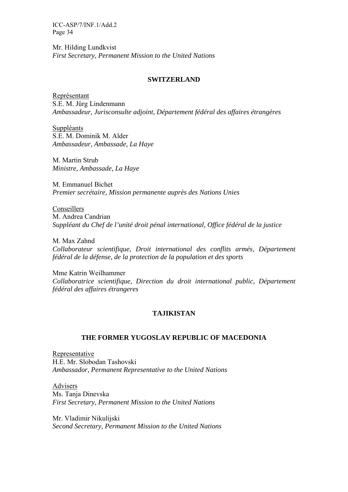Mr. Hilding Lundkvist *First Secretary, Permanent Mission to the United Nations* 

#### **SWITZERLAND**

Représentant S.E. M. Jürg Lindenmann *Ambassadeur, Jurisconsulte adjoint, Département fédéral des affaires étrangères* 

Suppléants S.E. M. Dominik M. Alder *Ambassadeur, Ambassade, La Haye* 

M. Martin Strub *Ministre, Ambassade, La Haye* 

M. Emmanuel Bichet *Premier secrétaire, Mission permanente auprès des Nations Unies* 

Conseillers M. Andrea Candrian *Suppléant du Chef de l'unité droit pénal international, Office fédéral de la justice* 

M. Max Zahnd *Collaborateur scientifique, Droit international des conflits armés, Département fédéral de la défense, de la protection de la population et des sports* 

Mme Katrin Weilhammer *Collaboratrice scientifique, Direction du droit international public, Département fédéral des affaires étrangeres*

### **TAJIKISTAN**

### **THE FORMER YUGOSLAV REPUBLIC OF MACEDONIA**

Representative H.E. Mr. Slobodan Tashovski *Ambassador, Permanent Representative to the United Nations* 

Advisers Ms. Tanja Dinevska *First Secretary, Permanent Mission to the United Nations* 

Mr. Vladimir Nikulijski *Second Secretary, Permanent Mission to the United Nations*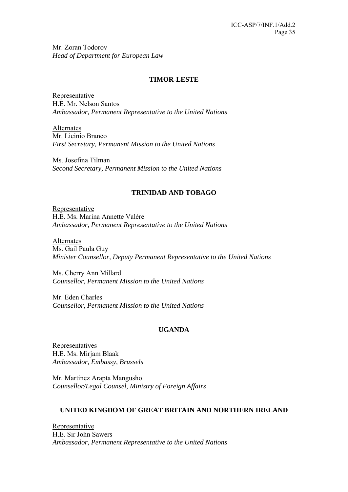Mr. Zoran Todorov *Head of Department for European Law* 

### **TIMOR-LESTE**

Representative H.E. Mr. Nelson Santos *Ambassador, Permanent Representative to the United Nations* 

Alternates Mr. Licinio Branco *First Secretary, Permanent Mission to the United Nations* 

Ms. Josefina Tilman *Second Secretary, Permanent Mission to the United Nations* 

# **TRINIDAD AND TOBAGO**

Representative H.E. Ms. Marina Annette Valère *Ambassador, Permanent Representative to the United Nations* 

Alternates Ms. Gail Paula Guy *Minister Counsellor, Deputy Permanent Representative to the United Nations* 

Ms. Cherry Ann Millard *Counsellor, Permanent Mission to the United Nations* 

Mr. Eden Charles *Counsellor, Permanent Mission to the United Nations* 

# **UGANDA**

Representatives H.E. Ms. Mirjam Blaak *Ambassador, Embassy, Brussels* 

Mr. Martinez Arapta Mangusho *Counsellor/Legal Counsel, Ministry of Foreign Affairs* 

# **UNITED KINGDOM OF GREAT BRITAIN AND NORTHERN IRELAND**

Representative H.E. Sir John Sawers *Ambassador, Permanent Representative to the United Nations*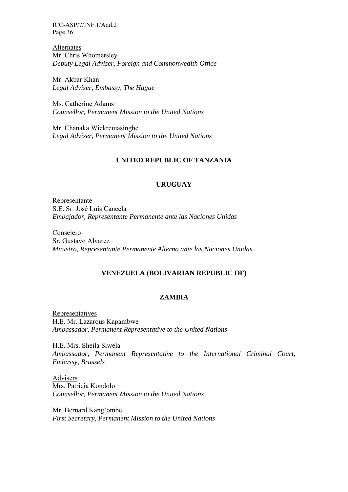Alternates Mr. Chris Whomersley *Deputy Legal Adviser, Foreign and Commonwealth Office* 

Mr. Akbar Khan *Legal Adviser, Embassy, The Hague* 

Ms. Catherine Adams *Counsellor, Permanent Mission to the United Nations* 

Mr. Chanaka Wickremasinghe *Legal Adviser, Permanent Mission to the United Nations* 

#### **UNITED REPUBLIC OF TANZANIA**

### **URUGUAY**

Representante S.E. Sr. José Luis Cancela *Embajador, Representante Permanente ante las Naciones Unidas* 

Consejero Sr. Gustavo Alvarez *Ministro, Representante Permanente Alterno ante las Naciones Unidas* 

### **VENEZUELA (BOLIVARIAN REPUBLIC OF)**

### **ZAMBIA**

Representatives H.E. Mr. Lazarous Kapambwe *Ambassador, Permanent Representative to the United Nations* 

H.E. Mrs. Sheila Siwela *Ambassador, Permanent Representative to the International Criminal Court, Embassy, Brussels* 

Advisers Mrs. Patricia Kondolo *Counsellor, Permanent Mission to the United Nations* 

Mr. Bernard Kang'ombe *First Secretary, Permanent Mission to the United Nations*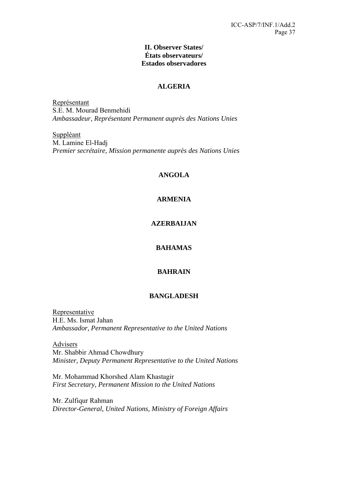### **II. Observer States/ États observateurs/ Estados observadores**

### **ALGERIA**

Représentant S.E. M. Mourad Benmehidi *Ambassadeur, Représentant Permanent auprès des Nations Unies* 

Suppléant M. Lamine El-Hadj *Premier secrétaire, Mission permanente auprès des Nations Unies* 

## **ANGOLA**

### **ARMENIA**

### **AZERBAIJAN**

## **BAHAMAS**

### **BAHRAIN**

### **BANGLADESH**

Representative H.E. Ms. Ismat Jahan *Ambassador, Permanent Representative to the United Nations* 

Advisers Mr. Shabbir Ahmad Chowdhury *Minister, Deputy Permanent Representative to the United Nations* 

Mr. Mohammad Khorshed Alam Khastagir *First Secretary, Permanent Mission to the United Nations* 

Mr. Zulfiqur Rahman *Director-General, United Nations, Ministry of Foreign Affairs*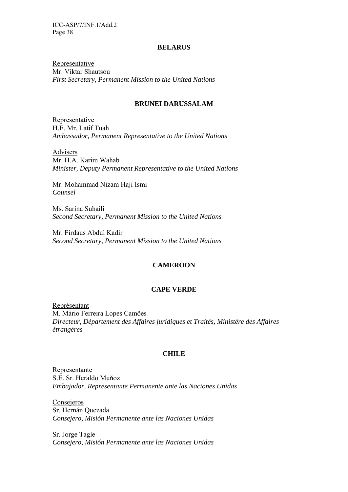#### **BELARUS**

Representative Mr. Viktar Shautsou *First Secretary, Permanent Mission to the United Nations* 

#### **BRUNEI DARUSSALAM**

Representative H.E. Mr. Latif Tuah *Ambassador, Permanent Representative to the United Nations* 

Advisers Mr. H.A. Karim Wahab *Minister, Deputy Permanent Representative to the United Nations* 

Mr. Mohammad Nizam Haji Ismi *Counsel* 

Ms. Sarina Suhaili *Second Secretary, Permanent Mission to the United Nations* 

Mr. Firdaus Abdul Kadir *Second Secretary, Permanent Mission to the United Nations* 

#### **CAMEROON**

#### **CAPE VERDE**

Représentant M. Mário Ferreira Lopes Camões *Directeur, Département des Affaires juridiques et Traités, Ministère des Affaires étrangères* 

#### **CHILE**

Representante S.E. Sr. Heraldo Muňoz *Embajador, Representante Permanente ante las Naciones Unidas* 

Consejeros Sr. Hernán Quezada *Consejero, Misión Permanente ante las Naciones Unidas* 

Sr. Jorge Tagle *Consejero, Misión Permanente ante las Naciones Unidas*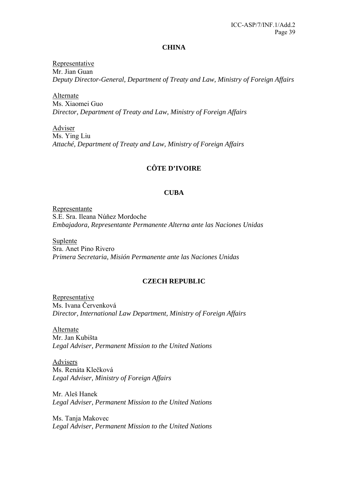#### **CHINA**

Representative Mr. Jian Guan *Deputy Director-General, Department of Treaty and Law, Ministry of Foreign Affairs* 

Alternate Ms. Xiaomei Guo *Director, Department of Treaty and Law, Ministry of Foreign Affairs* 

Adviser Ms. Ying Liu *Attaché, Department of Treaty and Law, Ministry of Foreign Affairs* 

# **CÔTE D'IVOIRE**

### **CUBA**

Representante S.E. Sra. Ileana Núňez Mordoche *Embajadora, Representante Permanente Alterna ante las Naciones Unidas* 

Suplente Sra. Anet Pino Rivero *Primera Secretaria, Misión Permanente ante las Naciones Unidas* 

### **CZECH REPUBLIC**

Representative Ms. Ivana Červenková *Director, International Law Department, Ministry of Foreign Affairs* 

Alternate Mr. Jan Kubišta *Legal Adviser, Permanent Mission to the United Nations* 

Advisers Ms. Renáta Klečková *Legal Adviser, Ministry of Foreign Affairs* 

Mr. Aleš Hanek *Legal Adviser, Permanent Mission to the United Nations* 

Ms. Tanja Makovec *Legal Adviser, Permanent Mission to the United Nations*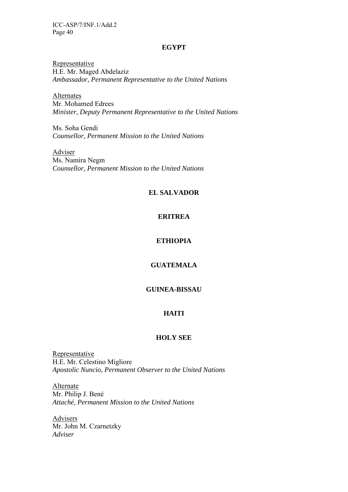#### **EGYPT**

Representative H.E. Mr. Maged Abdelaziz *Ambassador, Permanent Representative to the United Nations* 

Alternates Mr. Mohamed Edrees *Minister, Deputy Permanent Representative to the United Nations* 

Ms. Soha Gendi *Counsellor, Permanent Mission to the United Nations* 

Adviser Ms. Namira Negm *Counsellor, Permanent Mission to the United Nations* 

#### **EL SALVADOR**

### **ERITREA**

# **ETHIOPIA**

### **GUATEMALA**

# **GUINEA-BISSAU**

#### **HAITI**

## **HOLY SEE**

Representative H.E. Mr. Celestino Migliore *Apostolic Nuncio, Permanent Observer to the United Nations* 

Alternate Mr. Philip J. Bené *Attaché, Permanent Mission to the United Nations* 

Advisers Mr. John M. Czarnetzky *Adviser*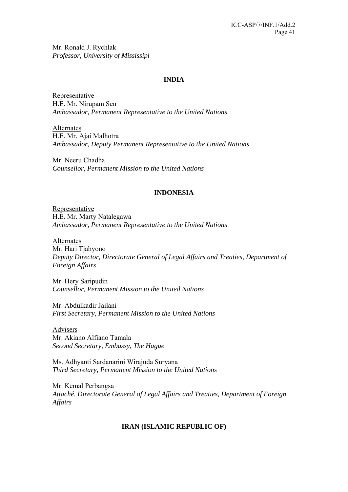Mr. Ronald J. Rychlak *Professor, University of Mississipi* 

### **INDIA**

Representative H.E. Mr. Nirupam Sen *Ambassador, Permanent Representative to the United Nations* 

Alternates H.E. Mr. Ajai Malhotra *Ambassador, Deputy Permanent Representative to the United Nations* 

Mr. Neeru Chadha *Counsellor, Permanent Mission to the United Nations* 

### **INDONESIA**

Representative H.E. Mr. Marty Natalegawa *Ambassador, Permanent Representative to the United Nations* 

Alternates Mr. Hari Tjahyono *Deputy Director, Directorate General of Legal Affairs and Treaties, Department of Foreign Affairs* 

Mr. Hery Saripudin *Counsellor, Permanent Mission to the United Nations* 

Mr. Abdulkadir Jailani *First Secretary, Permanent Mission to the United Nations* 

Advisers Mr. Akiano Alfiano Tamala *Second Secretary, Embassy, The Hague* 

Ms. Adhyanti Sardanarini Wirajuda Suryana *Third Secretary, Permanent Mission to the United Nations* 

Mr. Kemal Perbangsa *Attaché, Directorate General of Legal Affairs and Treaties, Department of Foreign Affairs* 

### **IRAN (ISLAMIC REPUBLIC OF)**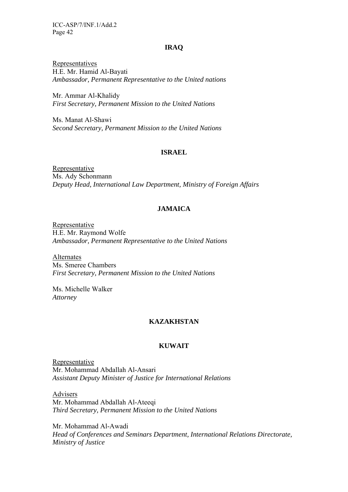#### **IRAQ**

Representatives H.E. Mr. Hamid Al-Bayati *Ambassador, Permanent Representative to the United nations* 

Mr. Ammar Al-Khalidy *First Secretary, Permanent Mission to the United Nations* 

Ms. Manat Al-Shawi *Second Secretary, Permanent Mission to the United Nations* 

#### **ISRAEL**

Representative Ms. Ady Schonmann *Deputy Head, International Law Department, Ministry of Foreign Affairs* 

### **JAMAICA**

Representative H.E. Mr. Raymond Wolfe *Ambassador, Permanent Representative to the United Nations* 

Alternates Ms. Smeree Chambers *First Secretary, Permanent Mission to the United Nations* 

Ms. Michelle Walker *Attorney* 

#### **KAZAKHSTAN**

#### **KUWAIT**

Representative Mr. Mohammad Abdallah Al-Ansari *Assistant Deputy Minister of Justice for International Relations* 

Advisers Mr. Mohammad Abdallah Al-Ateeqi *Third Secretary, Permanent Mission to the United Nations* 

Mr. Mohammad Al-Awadi *Head of Conferences and Seminars Department, International Relations Directorate, Ministry of Justice*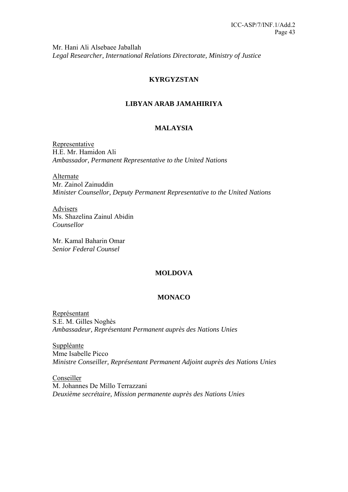Mr. Hani Ali Alsebaee Jaballah *Legal Researcher, International Relations Directorate, Ministry of Justice* 

# **KYRGYZSTAN**

# **LIBYAN ARAB JAMAHIRIYA**

# **MALAYSIA**

Representative H.E. Mr. Hamidon Ali *Ambassador, Permanent Representative to the United Nations* 

Alternate Mr. Zainol Zainuddin *Minister Counsellor, Deputy Permanent Representative to the United Nations* 

Advisers Ms. Shazelina Zainul Abidin *Counsellor* 

Mr. Kamal Baharin Omar *Senior Federal Counsel* 

### **MOLDOVA**

### **MONACO**

Représentant S.E. M. Gilles Noghès *Ambassadeur, Représentant Permanent auprès des Nations Unies* 

Suppléante Mme Isabelle Picco *Ministre Conseiller, Représentant Permanent Adjoint auprès des Nations Unies* 

Conseiller M. Johannes De Millo Terrazzani *Deuxième secrétaire, Mission permanente auprès des Nations Unies*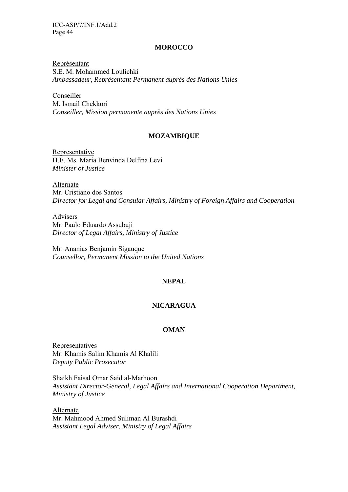#### **MOROCCO**

Représentant S.E. M. Mohammed Loulichki *Ambassadeur, Représentant Permanent auprès des Nations Unies* 

Conseiller M. Ismail Chekkori *Conseiller, Mission permanente auprès des Nations Unies* 

#### **MOZAMBIQUE**

Representative H.E. Ms. Maria Benvinda Delfina Levi *Minister of Justice* 

Alternate Mr. Cristiano dos Santos *Director for Legal and Consular Affairs, Ministry of Foreign Affairs and Cooperation* 

Advisers Mr. Paulo Eduardo Assubuji *Director of Legal Affairs, Ministry of Justice* 

Mr. Ananias Benjamin Sigauque *Counsellor, Permanent Mission to the United Nations* 

### **NEPAL**

### **NICARAGUA**

### **OMAN**

Representatives Mr. Khamis Salim Khamis Al Khalili *Deputy Public Prosecutor* 

Shaikh Faisal Omar Said al-Marhoon *Assistant Director-General, Legal Affairs and International Cooperation Department, Ministry of Justice* 

Alternate Mr. Mahmood Ahmed Suliman Al Burashdi *Assistant Legal Adviser, Ministry of Legal Affairs*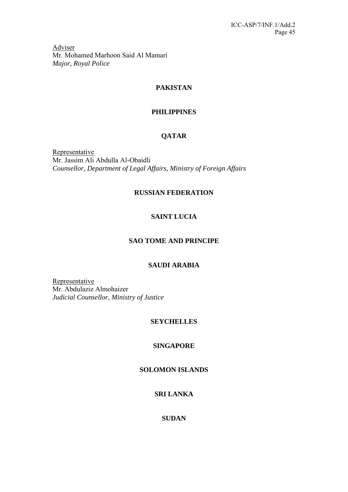Adviser Mr. Mohamed Marhoon Said Al Mamari *Major, Royal Police* 

# **PAKISTAN**

# **PHILIPPINES**

# **QATAR**

**Representative** Mr. Jassim Ali Abdulla Al-Obaidli *Counsellor, Department of Legal Affairs, Ministry of Foreign Affairs* 

# **RUSSIAN FEDERATION**

# **SAINT LUCIA**

# **SAO TOME AND PRINCIPE**

# **SAUDI ARABIA**

Representative Mr. Abdulaziz Almohaizer *Judicial Counsellor, Ministry of Justice* 

# **SEYCHELLES**

# **SINGAPORE**

# **SOLOMON ISLANDS**

# **SRI LANKA**

# **SUDAN**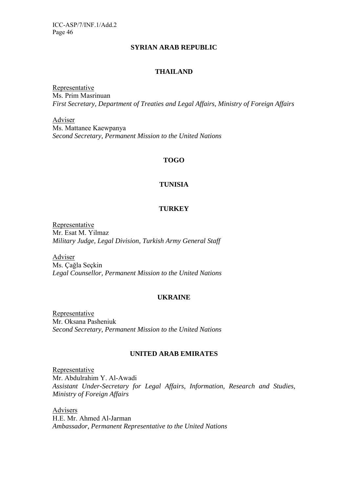#### **SYRIAN ARAB REPUBLIC**

### **THAILAND**

Representative Ms. Prim Masrinuan *First Secretary, Department of Treaties and Legal Affairs, Ministry of Foreign Affairs* 

Adviser Ms. Mattanee Kaewpanya *Second Secretary, Permanent Mission to the United Nations* 

# **TOGO**

### **TUNISIA**

### **TURKEY**

Representative Mr. Esat M. Yilmaz *Military Judge, Legal Division, Turkish Army General Staff* 

Adviser Ms. Çağla Seçkin *Legal Counsellor, Permanent Mission to the United Nations* 

### **UKRAINE**

Representative Mr. Oksana Pasheniuk *Second Secretary, Permanent Mission to the United Nations* 

### **UNITED ARAB EMIRATES**

Representative Mr. Abdulrahim Y. Al-Awadi *Assistant Under-Secretary for Legal Affairs, Information, Research and Studies, Ministry of Foreign Affairs* 

**Advisers** H.E. Mr. Ahmed Al-Jarman *Ambassador, Permanent Representative to the United Nations*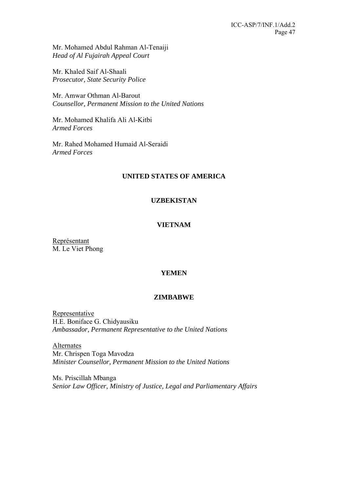Mr. Mohamed Abdul Rahman Al-Tenaiji *Head of Al Fujairah Appeal Court* 

Mr. Khaled Saif Al-Shaali *Prosecutor, State Security Police* 

Mr. Amwar Othman Al-Barout *Counsellor, Permanent Mission to the United Nations* 

Mr. Mohamed Khalifa Ali Al-Kitbi *Armed Forces* 

Mr. Rahed Mohamed Humaid Al-Seraidi *Armed Forces* 

# **UNITED STATES OF AMERICA**

### **UZBEKISTAN**

### **VIETNAM**

Représentant M. Le Viet Phong

### **YEMEN**

### **ZIMBABWE**

Representative H.E. Boniface G. Chidyausiku *Ambassador, Permanent Representative to the United Nations* 

Alternates Mr. Chrispen Toga Mavodza *Minister Counsellor, Permanent Mission to the United Nations* 

Ms. Priscillah Mbanga *Senior Law Officer, Ministry of Justice, Legal and Parliamentary Affairs*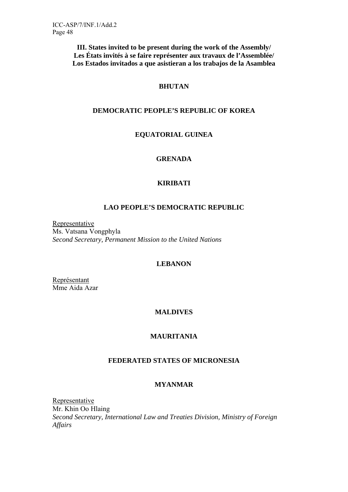**III. States invited to be present during the work of the Assembly/ Les États invités à se faire représenter aux travaux de l'Assemblée/ Los Estados invitados a que asistieran a los trabajos de la Asamblea** 

### **BHUTAN**

### **DEMOCRATIC PEOPLE'S REPUBLIC OF KOREA**

# **EQUATORIAL GUINEA**

### **GRENADA**

### **KIRIBATI**

### **LAO PEOPLE'S DEMOCRATIC REPUBLIC**

Representative Ms. Vatsana Vongphyla *Second Secretary, Permanent Mission to the United Nations* 

#### **LEBANON**

Représentant Mme Aida Azar

### **MALDIVES**

### **MAURITANIA**

### **FEDERATED STATES OF MICRONESIA**

# **MYANMAR**

Representative Mr. Khin Oo Hlaing *Second Secretary, International Law and Treaties Division, Ministry of Foreign Affairs*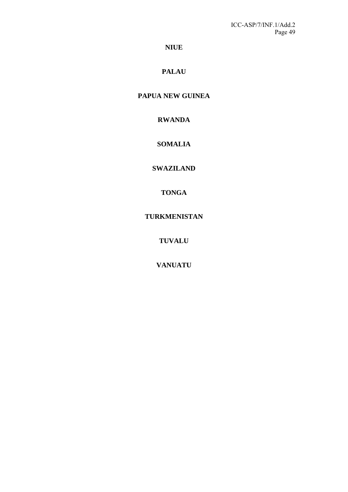# **NIUE**

# **PALAU**

# **PAPUA NEW GUINEA**

# **RWANDA**

# **SOMALIA**

# **SWAZILAND**

# **TONGA**

# **TURKMENISTAN**

**TUVALU** 

**VANUATU**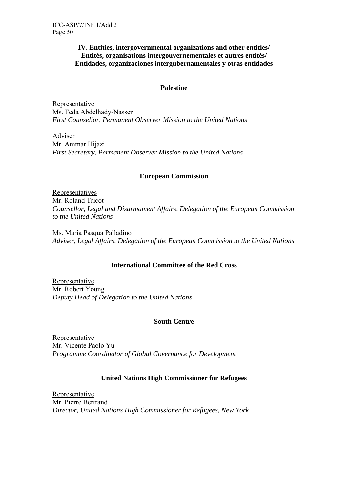### **IV. Entities, intergovernmental organizations and other entities/ Entités, organisations intergouvernementales et autres entités/ Entidades, organizaciones intergubernamentales y otras entidades**

### **Palestine**

Representative Ms. Feda Abdelhady-Nasser *First Counsellor, Permanent Observer Mission to the United Nations* 

Adviser Mr. Ammar Hijazi *First Secretary, Permanent Observer Mission to the United Nations* 

### **European Commission**

Representatives Mr. Roland Tricot *Counsellor, Legal and Disarmament Affairs, Delegation of the European Commission to the United Nations*

Ms. Maria Pasqua Palladino *Adviser, Legal Affairs, Delegation of the European Commission to the United Nations*

### **International Committee of the Red Cross**

Representative Mr. Robert Young *Deputy Head of Delegation to the United Nations* 

### **South Centre**

Representative Mr. Vicente Paolo Yu *Programme Coordinator of Global Governance for Development* 

# **United Nations High Commissioner for Refugees**

Representative Mr. Pierre Bertrand *Director, United Nations High Commissioner for Refugees, New York*